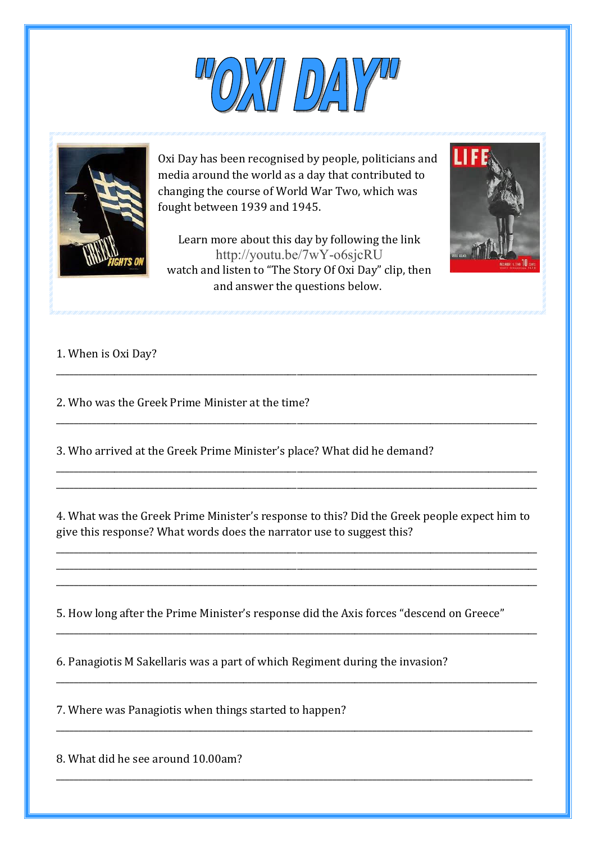



Oxi Day has been recognised by people, politicians and media around the world as a day that contributed to changing the course of World War Two, which was fought between 1939 and 1945.

Learn more about this day by following the link http://youtu.be/7wY-o6sjcRU watch and listen to "The Story Of Oxi Day" clip, then and answer the questions below.

\_\_\_\_\_\_\_\_\_\_\_\_\_\_\_\_\_\_\_\_\_\_\_\_\_\_\_\_\_\_\_\_\_\_\_\_\_\_\_\_\_\_\_\_\_\_\_\_\_\_\_\_\_\_\_\_\_\_\_\_\_\_\_\_\_\_\_\_\_\_\_\_\_\_\_\_\_\_\_\_\_\_\_\_\_\_\_\_\_\_\_\_\_\_\_\_\_\_\_\_\_\_\_\_\_\_\_\_

\_\_\_\_\_\_\_\_\_\_\_\_\_\_\_\_\_\_\_\_\_\_\_\_\_\_\_\_\_\_\_\_\_\_\_\_\_\_\_\_\_\_\_\_\_\_\_\_\_\_\_\_\_\_\_\_\_\_\_\_\_\_\_\_\_\_\_\_\_\_\_\_\_\_\_\_\_\_\_\_\_\_\_\_\_\_\_\_\_\_\_\_\_\_\_\_\_\_\_\_\_\_\_\_\_\_\_\_

\_\_\_\_\_\_\_\_\_\_\_\_\_\_\_\_\_\_\_\_\_\_\_\_\_\_\_\_\_\_\_\_\_\_\_\_\_\_\_\_\_\_\_\_\_\_\_\_\_\_\_\_\_\_\_\_\_\_\_\_\_\_\_\_\_\_\_\_\_\_\_\_\_\_\_\_\_\_\_\_\_\_\_\_\_\_\_\_\_\_\_\_\_\_\_\_\_\_\_\_\_\_\_\_\_\_\_\_ \_\_\_\_\_\_\_\_\_\_\_\_\_\_\_\_\_\_\_\_\_\_\_\_\_\_\_\_\_\_\_\_\_\_\_\_\_\_\_\_\_\_\_\_\_\_\_\_\_\_\_\_\_\_\_\_\_\_\_\_\_\_\_\_\_\_\_\_\_\_\_\_\_\_\_\_\_\_\_\_\_\_\_\_\_\_\_\_\_\_\_\_\_\_\_\_\_\_\_\_\_\_\_\_\_\_\_\_



## 1. When is Oxi Day?

2. Who was the Greek Prime Minister at the time?

3. Who arrived at the Greek Prime Minister's place? What did he demand?

4. What was the Greek Prime Minister's response to this? Did the Greek people expect him to give this response? What words does the narrator use to suggest this?

\_\_\_\_\_\_\_\_\_\_\_\_\_\_\_\_\_\_\_\_\_\_\_\_\_\_\_\_\_\_\_\_\_\_\_\_\_\_\_\_\_\_\_\_\_\_\_\_\_\_\_\_\_\_\_\_\_\_\_\_\_\_\_\_\_\_\_\_\_\_\_\_\_\_\_\_\_\_\_\_\_\_\_\_\_\_\_\_\_\_\_\_\_\_\_\_\_\_\_\_\_\_\_\_\_\_\_\_ \_\_\_\_\_\_\_\_\_\_\_\_\_\_\_\_\_\_\_\_\_\_\_\_\_\_\_\_\_\_\_\_\_\_\_\_\_\_\_\_\_\_\_\_\_\_\_\_\_\_\_\_\_\_\_\_\_\_\_\_\_\_\_\_\_\_\_\_\_\_\_\_\_\_\_\_\_\_\_\_\_\_\_\_\_\_\_\_\_\_\_\_\_\_\_\_\_\_\_\_\_\_\_\_\_\_\_\_ \_\_\_\_\_\_\_\_\_\_\_\_\_\_\_\_\_\_\_\_\_\_\_\_\_\_\_\_\_\_\_\_\_\_\_\_\_\_\_\_\_\_\_\_\_\_\_\_\_\_\_\_\_\_\_\_\_\_\_\_\_\_\_\_\_\_\_\_\_\_\_\_\_\_\_\_\_\_\_\_\_\_\_\_\_\_\_\_\_\_\_\_\_\_\_\_\_\_\_\_\_\_\_\_\_\_\_\_

\_\_\_\_\_\_\_\_\_\_\_\_\_\_\_\_\_\_\_\_\_\_\_\_\_\_\_\_\_\_\_\_\_\_\_\_\_\_\_\_\_\_\_\_\_\_\_\_\_\_\_\_\_\_\_\_\_\_\_\_\_\_\_\_\_\_\_\_\_\_\_\_\_\_\_\_\_\_\_\_\_\_\_\_\_\_\_\_\_\_\_\_\_\_\_\_\_\_\_\_\_\_\_\_\_\_\_\_

\_\_\_\_\_\_\_\_\_\_\_\_\_\_\_\_\_\_\_\_\_\_\_\_\_\_\_\_\_\_\_\_\_\_\_\_\_\_\_\_\_\_\_\_\_\_\_\_\_\_\_\_\_\_\_\_\_\_\_\_\_\_\_\_\_\_\_\_\_\_\_\_\_\_\_\_\_\_\_\_\_\_\_\_\_\_\_\_\_\_\_\_\_\_\_\_\_\_\_\_\_\_\_\_\_\_\_\_

\_\_\_\_\_\_\_\_\_\_\_\_\_\_\_\_\_\_\_\_\_\_\_\_\_\_\_\_\_\_\_\_\_\_\_\_\_\_\_\_\_\_\_\_\_\_\_\_\_\_\_\_\_\_\_\_\_\_\_\_\_\_\_\_\_\_\_\_\_\_\_\_\_\_\_\_\_\_\_\_\_\_\_\_\_\_\_\_\_\_\_\_\_\_\_\_\_\_\_\_\_\_\_\_\_\_\_

\_\_\_\_\_\_\_\_\_\_\_\_\_\_\_\_\_\_\_\_\_\_\_\_\_\_\_\_\_\_\_\_\_\_\_\_\_\_\_\_\_\_\_\_\_\_\_\_\_\_\_\_\_\_\_\_\_\_\_\_\_\_\_\_\_\_\_\_\_\_\_\_\_\_\_\_\_\_\_\_\_\_\_\_\_\_\_\_\_\_\_\_\_\_\_\_\_\_\_\_\_\_\_\_\_\_\_

5. How long after the Prime Minister's response did the Axis forces "descend on Greece"

6. Panagiotis M Sakellaris was a part of which Regiment during the invasion?

7. Where was Panagiotis when things started to happen?

8. What did he see around 10.00am?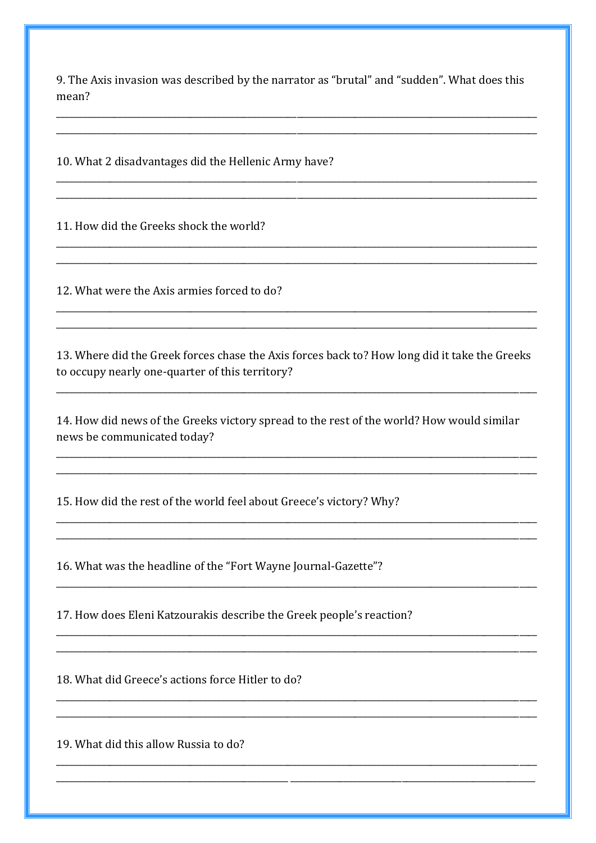9. The Axis invasion was described by the narrator as "brutal" and "sudden". What does this mean?

10. What 2 disadvantages did the Hellenic Army have?

11. How did the Greeks shock the world?

12. What were the Axis armies forced to do?

13. Where did the Greek forces chase the Axis forces back to? How long did it take the Greeks to occupy nearly one-quarter of this territory?

14. How did news of the Greeks victory spread to the rest of the world? How would similar news be communicated today?

15. How did the rest of the world feel about Greece's victory? Why?

16. What was the headline of the "Fort Wayne Journal-Gazette"?

17. How does Eleni Katzourakis describe the Greek people's reaction?

18. What did Greece's actions force Hitler to do?

19. What did this allow Russia to do?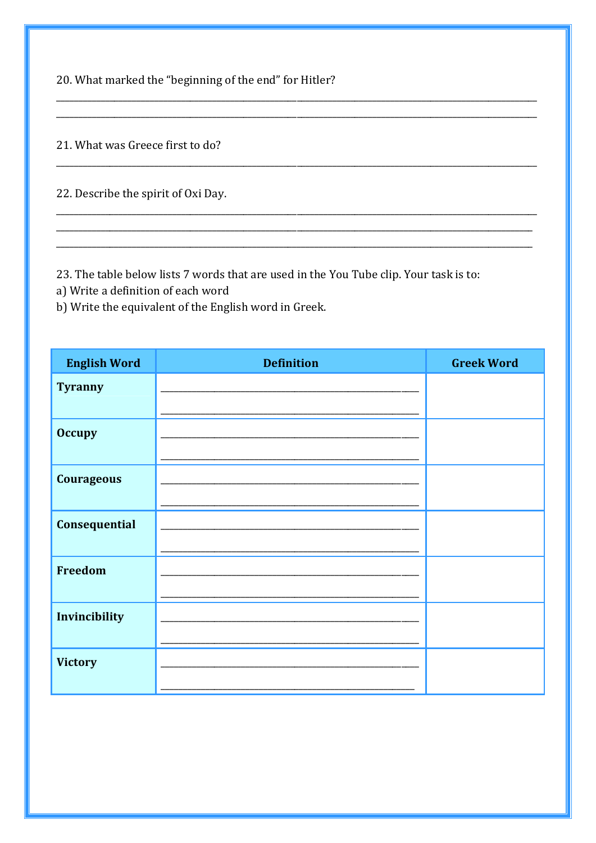20. What marked the "beginning of the end" for Hitler?

21. What was Greece first to do?

22. Describe the spirit of Oxi Day.

23. The table below lists 7 words that are used in the You Tube clip. Your task is to:

a) Write a definition of each word

b) Write the equivalent of the English word in Greek.

| <b>English Word</b> | <b>Definition</b> | <b>Greek Word</b> |
|---------------------|-------------------|-------------------|
| <b>Tyranny</b>      |                   |                   |
| <b>Occupy</b>       |                   |                   |
| <b>Courageous</b>   |                   |                   |
| Consequential       |                   |                   |
| <b>Freedom</b>      |                   |                   |
| Invincibility       |                   |                   |
| <b>Victory</b>      |                   |                   |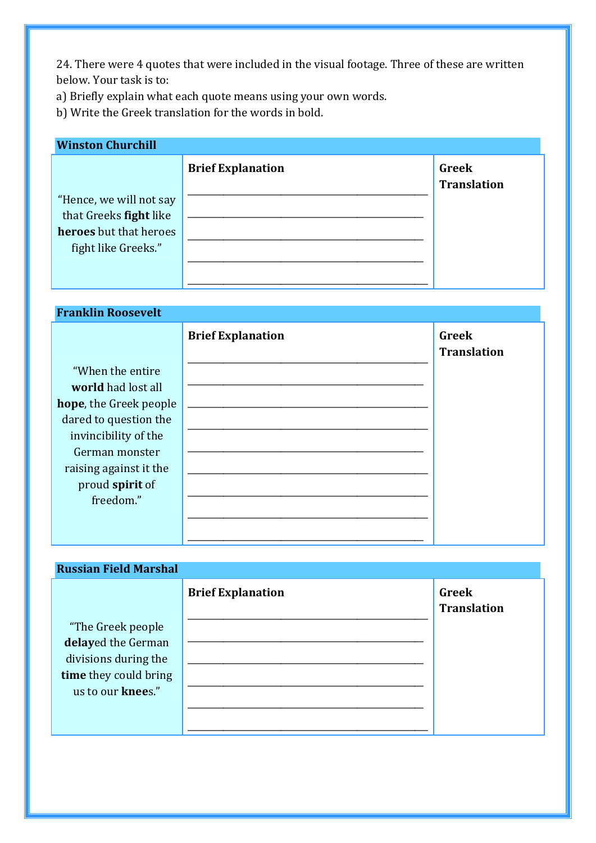24. There were 4 quotes that were included in the visual footage. Three of these are written below. Your task is to:

a) Briefly explain what each quote means using your own words.

b) Write the Greek translation for the words in bold.

## **Winston Churchill**

|                         | <b>Brief Explanation</b> | Greek<br><b>Translation</b> |
|-------------------------|--------------------------|-----------------------------|
| "Hence, we will not say |                          |                             |
| that Greeks fight like  |                          |                             |
| heroes but that heroes  |                          |                             |
| fight like Greeks."     |                          |                             |
|                         |                          |                             |
|                         |                          |                             |

## **Franklin Roosevelt**

|                        | <b>Brief Explanation</b> | <b>Greek</b><br><b>Translation</b> |
|------------------------|--------------------------|------------------------------------|
| "When the entire"      |                          |                                    |
| world had lost all     |                          |                                    |
| hope, the Greek people |                          |                                    |
| dared to question the  |                          |                                    |
| invincibility of the   |                          |                                    |
| German monster         |                          |                                    |
| raising against it the |                          |                                    |
| proud spirit of        |                          |                                    |
| freedom."              |                          |                                    |
|                        |                          |                                    |
|                        |                          |                                    |

## **Russian Field Marshal**  "The Greek people **delay**ed the German divisions during the **time** they could bring us to our **knee**s." **Brief Explanation**  \_\_\_\_\_\_\_\_\_\_\_\_\_\_\_\_\_\_\_\_\_\_\_\_\_\_\_\_\_\_\_\_\_\_\_\_\_\_\_\_\_\_\_\_\_\_\_\_\_\_\_\_\_\_ \_\_\_\_\_\_\_\_\_\_\_\_\_\_\_\_\_\_\_\_\_\_\_\_\_\_\_\_\_\_\_\_\_\_\_\_\_\_\_\_\_\_\_\_\_\_\_\_\_\_\_\_\_ \_\_\_\_\_\_\_\_\_\_\_\_\_\_\_\_\_\_\_\_\_\_\_\_\_\_\_\_\_\_\_\_\_\_\_\_\_\_\_\_\_\_\_\_\_\_\_\_\_\_\_\_\_ \_\_\_\_\_\_\_\_\_\_\_\_\_\_\_\_\_\_\_\_\_\_\_\_\_\_\_\_\_\_\_\_\_\_\_\_\_\_\_\_\_\_\_\_\_\_\_\_\_\_\_\_\_ \_\_\_\_\_\_\_\_\_\_\_\_\_\_\_\_\_\_\_\_\_\_\_\_\_\_\_\_\_\_\_\_\_\_\_\_\_\_\_\_\_\_\_\_\_\_\_\_\_\_\_\_\_ \_\_\_\_\_\_\_\_\_\_\_\_\_\_\_\_\_\_\_\_\_\_\_\_\_\_\_\_\_\_\_\_\_\_\_\_\_\_\_\_\_\_\_\_\_\_\_\_\_\_\_\_\_\_ **Greek Translation**